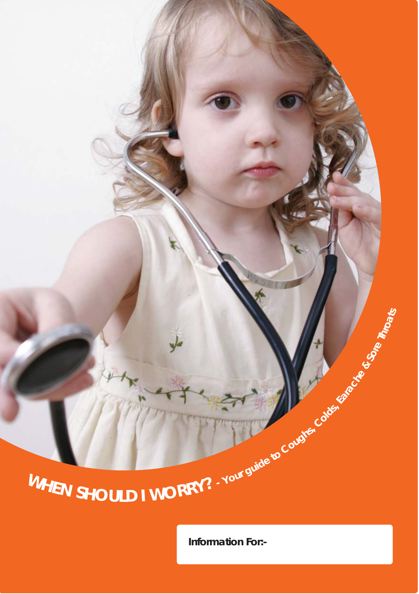WHEN SHOULD I WORRY? - Your guide to Coughs, Coleman Street

**Information For:-**

**& Sore**

**Throats**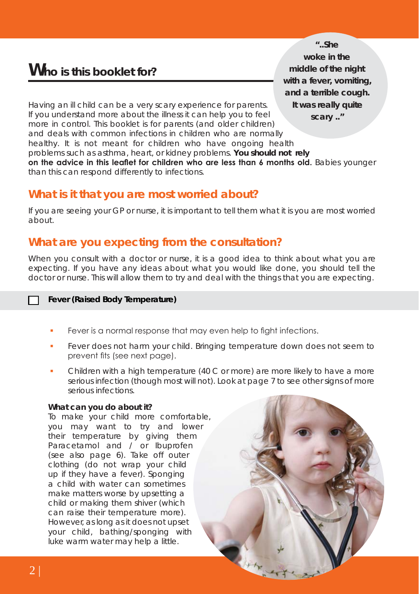# **Who is this booklet for?**

*"..She woke in the middle of the night with a fever, vomiting, and a terrible cough. It was really quite scary .."*

Having an ill child can be a very scary experience for parents. If you understand more about the illness it can help you to feel more in control. This booklet is for parents (and older children) and deals with common infections in children who are normally healthy. It is not meant for children who have ongoing health problems such as asthma, heart, or kidney problems. **You should not rely**  on the advice in this leaflet for children who are less than 6 months old. Babies younger than this can respond differently to infections.

## *What is it that you are most worried about?*

If you are seeing your GP or nurse, it is important to tell them what it is you are most worried about.

# *What are you expecting from the consultation?*

When you consult with a doctor or nurse, it is a good idea to think about what you are expecting. If you have any ideas about what you would like done, you should tell the doctor or nurse. This will allow them to try and deal with the things that you are expecting.

#### **Fever (Raised Body Temperature)**

- Fever is a normal response that may even help to fight infections.
- Fever does not harm your child. Bringing temperature down does not seem to prevent fits (see next page).
- Children with a high temperature (40 C or more) are more likely to have a more serious infection (though most will not). Look at page 7 to see other signs of more serious infections.

#### **What can you do about it?**

To make your child more comfortable, you may want to try and lower their temperature by giving them Paracetamol and / or Ibuprofen (see also page 6). Take off outer clothing (do not wrap your child up if they have a fever). Sponging a child with water can sometimes make matters worse by upsetting a child or making them shiver (which can raise their temperature more). However, as long as it does not upset your child, bathing/sponging with luke warm water may help a little.

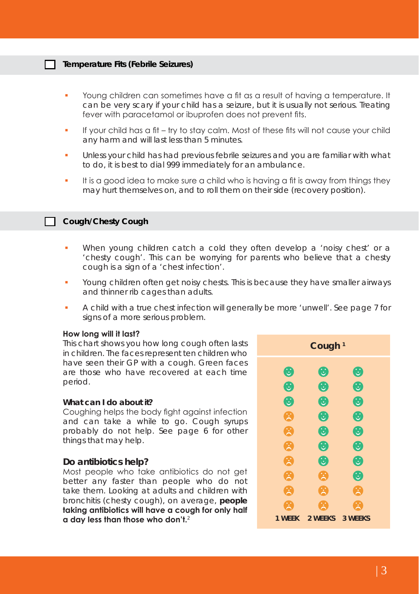#### **Temperature Fits (Febrile Seizures)**

- Young children can sometimes have a fit as a result of having a temperature. It can be very scary if your child has a seizure, but it is usually not serious. Treating fever with paracetamol or ibuprofen does not prevent fits.
- If your child has a fit try to stay calm. Most of these fits will not cause your child any harm and will last less than 5 minutes.
- Unless your child has had previous febrile seizures and you are familiar with what to do, it is best to dial 999 immediately for an ambulance.
- It is a good idea to make sure a child who is having a fit is away from things they may hurt themselves on, and to roll them on their side (recovery position).

#### **Cough/Chesty Cough**

- When young children catch a cold they often develop a 'noisy chest' or a 'chesty cough'. This can be worrying for parents who believe that a chesty cough is a sign of a 'chest infection'.
- Young children often get noisy chests. This is because they have smaller airways and thinner rib cages than adults.
- A child with a true chest infection will generally be more 'unwell'. See page 7 for signs of a more serious problem.

#### **How long will it last?**

This chart shows you how long cough often lasts in children. The faces represent ten children who have seen their GP with a cough. Green faces are those who have recovered at each time period.

#### **What can I do about it?**

Coughing helps the body fight gaginst infection and can take a while to go. Cough syrups probably do not help. See page 6 for other things that may help.

#### **Do antibiotics help?**

Most people who take antibiotics do not get better any faster than people who do not take them. Looking at adults and children with bronchitis (chesty cough), on average, **people**  taking antibiotics will have a cough for only half **a day less than those who don't.**<sup>2</sup>

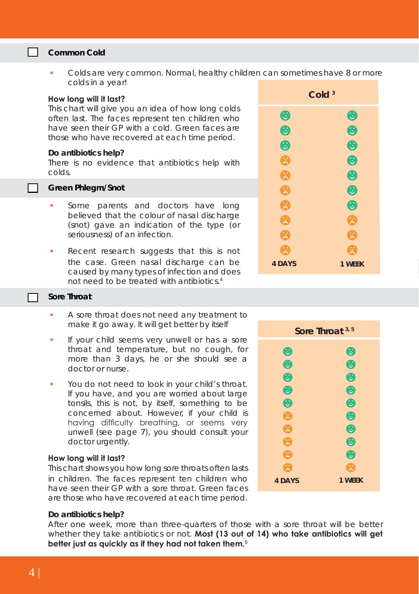#### **Common Cold**

 Colds are very common. Normal, healthy children can sometimes have 8 or more colds in a year!

#### **How long will it last?**

This chart will give you an idea of how long colds often last. The faces represent ten children who have seen their GP with a cold. Green faces are those who have recovered at each time period.

#### **Do antibiotics help?**

There is no evidence that antibiotics help with colds.

| l<br><b>Green Phlegm/Snot</b> |
|-------------------------------|
|-------------------------------|

- Some parents and doctors have long believed that the colour of nasal discharge (snot) gave an indication of the type (or seriousness) of an infection.
- Recent research suggests that this is not the case. Green nasal discharge can be caused by many types of infection and does not need to be treated with antibiotics.4

| Cold <sup>3</sup>     |                  |
|-----------------------|------------------|
| $\bm{\Theta}$         | $\bm{\Theta}$    |
| $\boldsymbol{\Theta}$ | $\bullet$        |
| 0                     | $\bullet$        |
| 窝                     | $\bullet$        |
| 窝                     | $\bullet$        |
| 关                     | $\bullet$        |
| R                     | $\boldsymbol{6}$ |
| R                     | 呙                |
| 关                     | 关                |
| v                     | v                |
| <b>4 DAYS</b>         | 1 WEEK           |

#### **Sore Throat**

- A sore throat does not need any treatment to make it go away. It will get better by itself
- If your child seems very unwell or has a sore throat and temperature, but no cough, for more than 3 days, he or she should see a doctor or nurse.
- You do not need to look in your child's throat. If you have, and you are worried about large tonsils, this is not, by itself, something to be concerned about. However, if your child is having difficulty breathing, or seems very unwell (see page 7), you should consult your doctor urgently.

#### **How long will it last?**

This chart shows you how long sore throats often lasts in children. The faces represent ten children who have seen their GP with a sore throat. Green faces are those who have recovered at each time period.

#### **Do antibiotics help?**

After one week, more than three-quarters of those with a sore throat will be better whether they take antibiotics or not. Most (13 out of 14) who take antibiotics will get better just as quickly as if they had not taken them.<sup>6</sup>

| Sore Throat 3, 5      |                       |
|-----------------------|-----------------------|
| $\boldsymbol{\Theta}$ | $\boldsymbol{\Theta}$ |
| $\bullet$             | $\bullet$             |
| $\boldsymbol{\Theta}$ | $\bullet$             |
| $\bullet$             | $\bullet$             |
| 6                     | $\bullet$             |
| X                     | $\bullet$             |
| Χ                     | $\bullet$             |
| ×<br>т<br>v           | $\bullet$<br>❸        |
| <b>4 DAYS</b>         | <b>1 WEEK</b>         |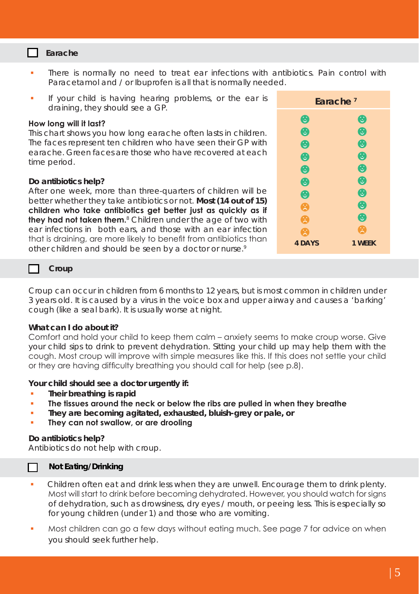#### **Earache Earache**

- There is normally no need to treat ear infections with antibiotics. Pain control with Paracetamol and / or Ibuprofen is all that is normally needed.
- If your child is having hearing problems, or the ear is draining, they should see a GP.

#### **How long will it last?**

This chart shows you how long earache often lasts in children. The faces represent ten children who have seen their GP with earache. Green faces are those who have recovered at each time period.

#### **Do antibiotics help?**

After one week, more than three-quarters of children will be better whether they take antibiotics or not. **Most (14 out of 15)**  children who take antibiotics get better just as quickly as if **they had not taken them.**<sup>8</sup> Children under the age of two with ear infections in both ears, and those with an ear infection that is draining, are more likely to benefit from antibiotics than other children and should be seen by a doctor or nurse.<sup>9</sup>

| Earache <sup>7</sup>  |              |  |
|-----------------------|--------------|--|
| $\boldsymbol{\Theta}$ | $\bf \odot$  |  |
| $\bullet$             | $\bullet$    |  |
| $\bullet$             | $\bullet$    |  |
| $\boldsymbol{\Theta}$ | $\bullet$    |  |
| $\boldsymbol{\Theta}$ | $\bullet$    |  |
| $\boldsymbol{\Theta}$ | $\bullet$    |  |
| $\boldsymbol{\Theta}$ | $\bullet$    |  |
| ×                     | $\bullet$    |  |
| 関                     | $\mathbf{6}$ |  |
| 図                     | У            |  |
| <b>4 DAYS</b>         | 1 WEEK       |  |

#### **Croup**

Croup can occur in children from 6 months to 12 years, but is most common in children under 3 years old. It is caused by a virus in the voice box and upper airway and causes a 'barking' cough (like a seal bark). It is usually worse at night.

#### **What can I do about it?**

Comfort and hold your child to keep them calm – anxiety seems to make croup worse. Give your child sips to drink to prevent dehydration. Sitting your child up may help them with the cough. Most croup will improve with simple measures like this. If this does not settle your child or they are having difficulty breathing you should call for help (see p.8).

**Your child should see a doctor urgently if:**

- **Their breathing is rapid**
- **The tissues around the neck or below the ribs are pulled in when they breathe**
- **They are becoming agitated, exhausted, bluish-grey or pale, or**
- **They can not swallow, or are drooling**

#### **Do antibiotics help?**

Antibiotics do not help with croup.

#### **Not Eating/Drinking**

- Children often eat and drink less when they are unwell. Encourage them to drink plenty. Most will start to drink before becoming dehydrated. However, you should watch for signs of dehydration, such as drowsiness, dry eyes / mouth, or peeing less. This is especially so for young children (under 1) and those who are vomiting.
- Most children can go a few days without eating much. See page 7 for advice on when you should seek further help.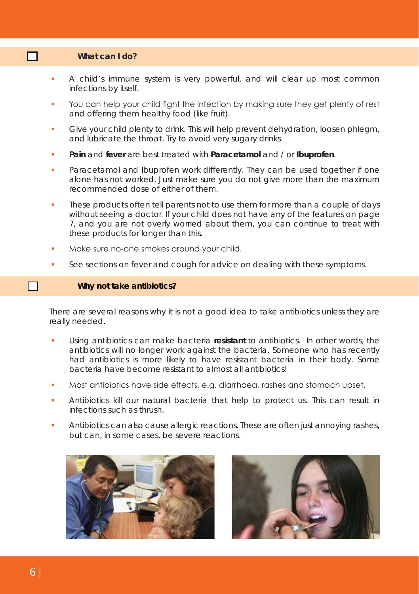#### **What can I do?**

 $\Box$ 

- A child's immune system is very powerful, and will clear up most common infections by itself.
- You can help your child fight the infection by making sure they get plenty of rest and offering them healthy food (like fruit).
- Give your child plenty to drink. This will help prevent dehydration, loosen phlegm, and lubricate the throat. Try to avoid very sugary drinks.
- **Pain** and **fever** are best treated with **Paracetamol** and / or **Ibuprofen**.
- Paracetamol and Ibuprofen work differently. They can be used together if one alone has not worked. Just make sure you do not give more than the maximum recommended dose of either of them.
- These products often tell parents not to use them for more than a couple of days without seeing a doctor. If your child does not have any of the features on page 7, and you are not overly worried about them, you can continue to treat with these products for longer than this.
- Make sure no-one smokes around your child.
- See sections on fever and cough for advice on dealing with these symptoms.

#### **Why not take antibiotics?**

There are several reasons why it is not a good idea to take antibiotics unless they are really needed.

- Using antibiotics can make bacteria **resistant** to antibiotics. In other words, the antibiotics will no longer work against the bacteria. Someone who has recently had antibiotics is more likely to have resistant bacteria in their body. Some bacteria have become resistant to almost all antibiotics!
- Most antibiotics have side effects, e.a. diarrhoea, rashes and stomach upset.
- Antibiotics kill our natural bacteria that help to protect us. This can result in infections such as thrush.
- Antibiotics can also cause allergic reactions. These are often just annoying rashes, but can, in some cases, be severe reactions.



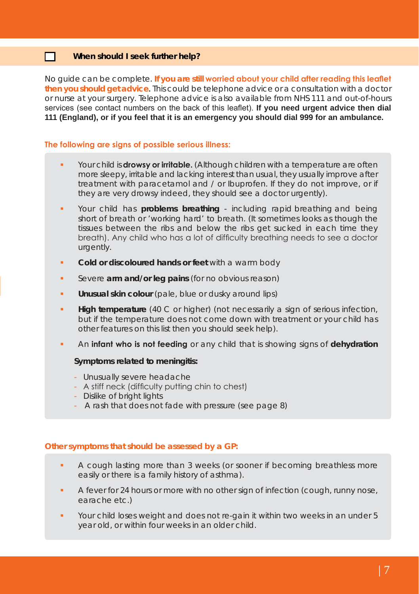#### $\Box$ **When should I seek further help?**

No quide can be complete. If you are still worried about your child after reading this leaftet **then you should get advice.** This could be telephone advice or a consultation with a doctor or nurse at your surgery. Telephone advice is also available from NHS 111 and out-of-hours services (see contact numbers on the back of this leaflet). If you need urgent advice then dial **111 (England), or if you feel that it is an emergency you should dial 999 for an ambulance.**

#### The following are sians of possible serious illness:

- Your child is **drowsy or irritable.** (Although children with a temperature are often more sleepy, irritable and lacking interest than usual, they usually improve after treatment with paracetamol and / or Ibuprofen. If they do not improve, or if they are very drowsy indeed, they should see a doctor urgently).
- Your child has **problems breathing** including rapid breathing and being short of breath or 'working hard' to breath. (It sometimes looks as though the tissues between the ribs and below the ribs get sucked in each time they breath). Any child who has a lot of difficulty breathing needs to see a doctor urgently.
- **Cold or discoloured hands or feet** with a warm body
- Severe **arm and/or leg pains** (for no obvious reason)
- **Unusual skin colour** (pale, blue or dusky around lips)
- **High temperature** (40 C or higher) (not necessarily a sign of serious infection, but if the temperature does not come down with treatment or your child has other features on this list then you should seek help).
- An **infant who is not feeding** or any child that is showing signs of **dehydration**

#### **Symptoms related to meningitis:**

- Unusually severe headache
- A stiff neck (difficulty putting chin to chest)
- Dislike of bright lights
- A rash that does not fade with pressure (see page 8)

#### **Other symptoms that should be assessed by a GP:**

- A cough lasting more than 3 weeks (or sooner if becoming breathless more easily or there is a family history of asthma).
- A fever for 24 hours or more with no other sign of infection (cough, runny nose, earache etc.)
- Your child loses weight and does not re-gain it within two weeks in an under 5 year old, or within four weeks in an older child.